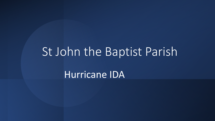## St John the Baptist Parish

Hurricane IDA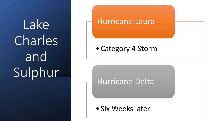Lake Charles and Sulphur

#### Hurricane Laura

•Category 4 Storm

Hurricane Delta

• Six Weeks later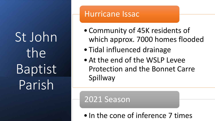St John the Baptist Parish

### Hurricane Issac

- •Community of 45K residents of which approx. 7000 homes flooded
- Tidal influenced drainage
- •At the end of the WSLP Levee Protection and the Bonnet Carre Spillway

2021 Season

• In the cone of inference 7 times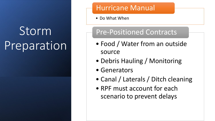## Storm Preparation

#### Hurricane Manual

• Do What When

## Pre-Positioned Contracts

- Food / Water from an outside source
- Debris Hauling / Monitoring
- Generators
- Canal / Laterals / Ditch cleaning
- RPF must account for each scenario to prevent delays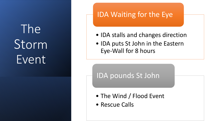The Storm Event

#### IDA Waiting for the Eye

- IDA stalls and changes direction
- IDA puts St John in the Eastern Eye-Wall for 8 hours

#### IDA pounds St John

- The Wind / Flood Event
- Rescue Calls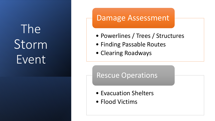# The Storm Event

### Damage Assessment

- Powerlines / Trees / Structures
- Finding Passable Routes
- Clearing Roadways

#### Rescue Operations

- Evacuation Shelters
- Flood Victims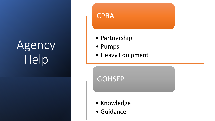## Agency Help

#### **CPRA**

- Partnership
- Pumps
- Heavy Equipment

**GOHSEP** 

- Knowledge
- Guidance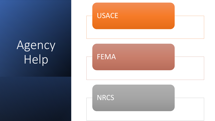## Agency Help



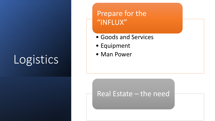# Logistics | · Man Power

## Prepare for the "INFLUX"

- Goods and Services
- Equipment
- 

#### Real Estate – the need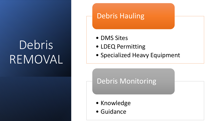## Debris REMOVAL

#### Debris Hauling

- DMS Sites
- LDEQ Permitting
- Specialized Heavy Equipment

#### Debris Monitoring

- Knowledge
- Guidance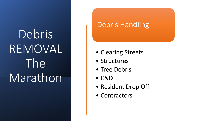### Debris Handling

- Clearing Streets
- Structures
- Tree Debris
- C&D
- Resident Drop Off
- Contractors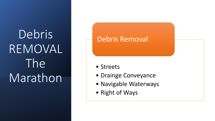#### Debris Removal

- Streets
- Drainge Conveyance
- Navigable Waterways
- Right of Ways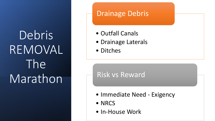#### Drainage Debris

- Outfall Canals
- Drainage Laterals
- Ditches

### Risk vs Reward

- Immediate Need Exigency
- NRCS
- In-House Work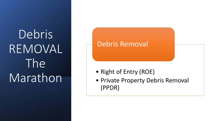#### Debris Removal

- Right of Entry (ROE)
- Private Property Debris Removal (PPDR)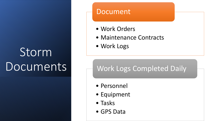# Storm **Communication Documents**

#### Document

- Work Orders
- Maintenance Contracts
- 

### Work Logs Completed Daily

- Personnel
- Equipment
- Tasks
- GPS Data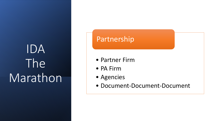# IDA The **Call Continues** Marathon

#### Partnership

- 
- PA Firm
- Agencies
- Document-Document-Document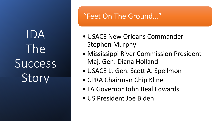IDA The Success Story

### "Feet On The Ground…"

- USACE New Orleans Commander Stephen Murphy
- Mississippi River Commission President Maj. Gen. Diana Holland
- USACE Lt Gen. Scott A. Spellmon
- CPRA Chairman Chip Kline
- LA Governor John Beal Edwards
- US President Joe Biden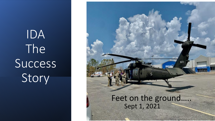# IDA The Success Story

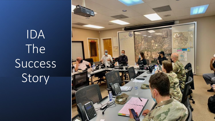# IDA The Success Story